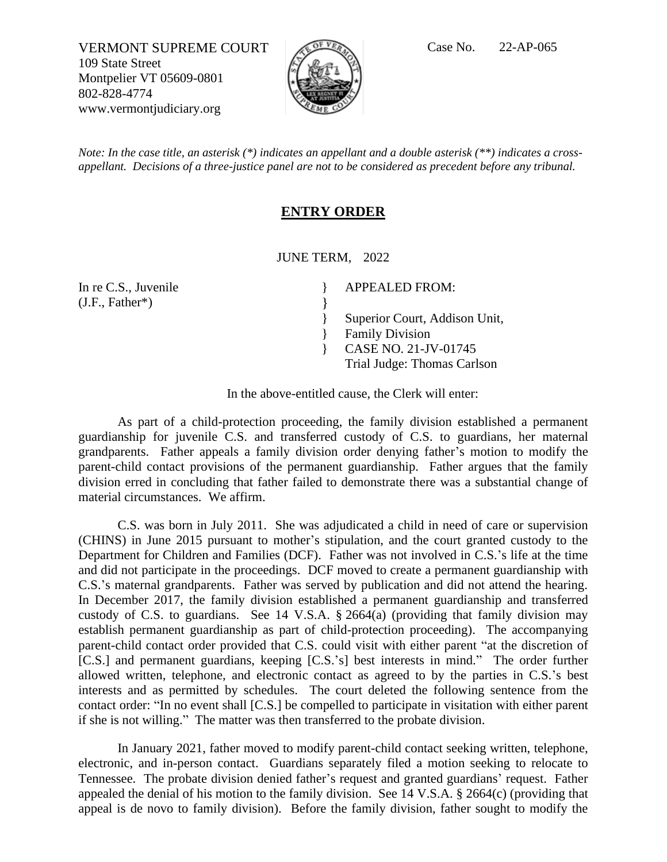VERMONT SUPREME COURT  $\sqrt{C}$ <sup>of *VER*</sup> Case No. 22-AP-065 109 State Street Montpelier VT 05609-0801 802-828-4774 www.vermontjudiciary.org



*Note: In the case title, an asterisk (\*) indicates an appellant and a double asterisk (\*\*) indicates a crossappellant. Decisions of a three-justice panel are not to be considered as precedent before any tribunal.*

## **ENTRY ORDER**

JUNE TERM, 2022

} }

} }

In re C.S., Juvenile (J.F., Father\*)

APPEALED FROM:

Superior Court, Addison Unit, Family Division } CASE NO. 21-JV-01745 Trial Judge: Thomas Carlson

In the above-entitled cause, the Clerk will enter:

As part of a child-protection proceeding, the family division established a permanent guardianship for juvenile C.S. and transferred custody of C.S. to guardians, her maternal grandparents. Father appeals a family division order denying father's motion to modify the parent-child contact provisions of the permanent guardianship. Father argues that the family division erred in concluding that father failed to demonstrate there was a substantial change of material circumstances. We affirm.

C.S. was born in July 2011. She was adjudicated a child in need of care or supervision (CHINS) in June 2015 pursuant to mother's stipulation, and the court granted custody to the Department for Children and Families (DCF). Father was not involved in C.S.'s life at the time and did not participate in the proceedings. DCF moved to create a permanent guardianship with C.S.'s maternal grandparents. Father was served by publication and did not attend the hearing. In December 2017, the family division established a permanent guardianship and transferred custody of C.S. to guardians. See 14 V.S.A. § 2664(a) (providing that family division may establish permanent guardianship as part of child-protection proceeding). The accompanying parent-child contact order provided that C.S. could visit with either parent "at the discretion of [C.S.] and permanent guardians, keeping [C.S.'s] best interests in mind." The order further allowed written, telephone, and electronic contact as agreed to by the parties in C.S.'s best interests and as permitted by schedules. The court deleted the following sentence from the contact order: "In no event shall [C.S.] be compelled to participate in visitation with either parent if she is not willing." The matter was then transferred to the probate division.

In January 2021, father moved to modify parent-child contact seeking written, telephone, electronic, and in-person contact. Guardians separately filed a motion seeking to relocate to Tennessee. The probate division denied father's request and granted guardians' request. Father appealed the denial of his motion to the family division. See 14 V.S.A. § 2664(c) (providing that appeal is de novo to family division). Before the family division, father sought to modify the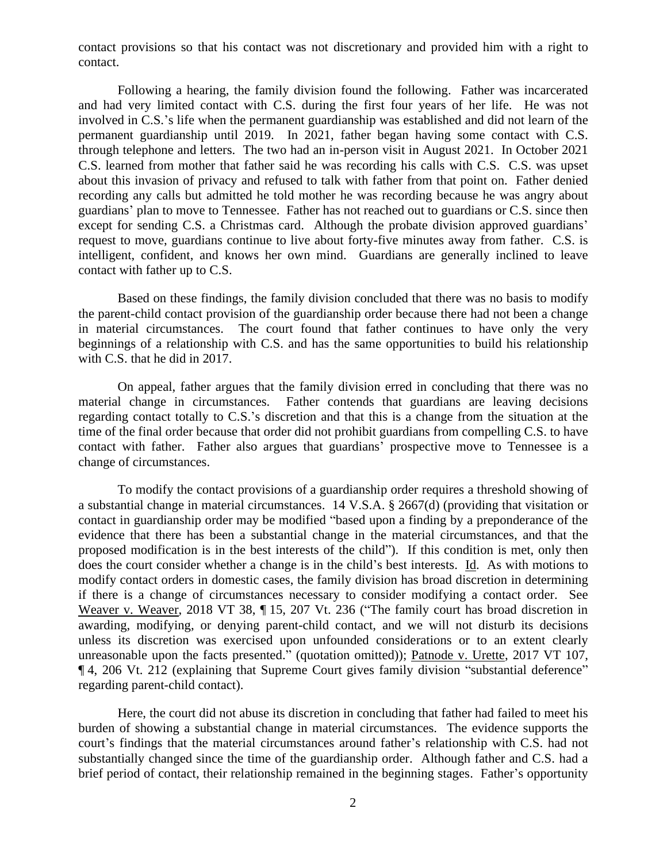contact provisions so that his contact was not discretionary and provided him with a right to contact.

Following a hearing, the family division found the following. Father was incarcerated and had very limited contact with C.S. during the first four years of her life. He was not involved in C.S.'s life when the permanent guardianship was established and did not learn of the permanent guardianship until 2019. In 2021, father began having some contact with C.S. through telephone and letters. The two had an in-person visit in August 2021. In October 2021 C.S. learned from mother that father said he was recording his calls with C.S. C.S. was upset about this invasion of privacy and refused to talk with father from that point on. Father denied recording any calls but admitted he told mother he was recording because he was angry about guardians' plan to move to Tennessee. Father has not reached out to guardians or C.S. since then except for sending C.S. a Christmas card. Although the probate division approved guardians' request to move, guardians continue to live about forty-five minutes away from father. C.S. is intelligent, confident, and knows her own mind. Guardians are generally inclined to leave contact with father up to C.S.

Based on these findings, the family division concluded that there was no basis to modify the parent-child contact provision of the guardianship order because there had not been a change in material circumstances. The court found that father continues to have only the very beginnings of a relationship with C.S. and has the same opportunities to build his relationship with C.S. that he did in 2017.

On appeal, father argues that the family division erred in concluding that there was no material change in circumstances. Father contends that guardians are leaving decisions regarding contact totally to C.S.'s discretion and that this is a change from the situation at the time of the final order because that order did not prohibit guardians from compelling C.S. to have contact with father. Father also argues that guardians' prospective move to Tennessee is a change of circumstances.

To modify the contact provisions of a guardianship order requires a threshold showing of a substantial change in material circumstances. 14 V.S.A. § 2667(d) (providing that visitation or contact in guardianship order may be modified "based upon a finding by a preponderance of the evidence that there has been a substantial change in the material circumstances, and that the proposed modification is in the best interests of the child"). If this condition is met, only then does the court consider whether a change is in the child's best interests. Id. As with motions to modify contact orders in domestic cases, the family division has broad discretion in determining if there is a change of circumstances necessary to consider modifying a contact order. See Weaver v. Weaver, 2018 VT 38, ¶ 15, 207 Vt. 236 ("The family court has broad discretion in awarding, modifying, or denying parent-child contact, and we will not disturb its decisions unless its discretion was exercised upon unfounded considerations or to an extent clearly unreasonable upon the facts presented." (quotation omitted)); Patnode v. Urette, 2017 VT 107, ¶ 4, 206 Vt. 212 (explaining that Supreme Court gives family division "substantial deference" regarding parent-child contact).

Here, the court did not abuse its discretion in concluding that father had failed to meet his burden of showing a substantial change in material circumstances. The evidence supports the court's findings that the material circumstances around father's relationship with C.S. had not substantially changed since the time of the guardianship order. Although father and C.S. had a brief period of contact, their relationship remained in the beginning stages. Father's opportunity